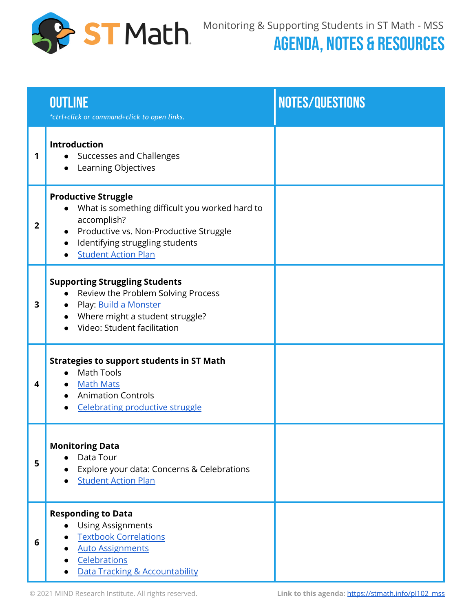

## AGENDA, NOTES & RESOURCES

|              | <b>OUTLINE</b><br>*ctrl+click or command+click to open links.                                                                                                                                                                                 | NOTES/QUESTIONS |
|--------------|-----------------------------------------------------------------------------------------------------------------------------------------------------------------------------------------------------------------------------------------------|-----------------|
| 1            | Introduction<br>Successes and Challenges<br>$\bullet$<br>Learning Objectives                                                                                                                                                                  |                 |
| $\mathbf{2}$ | <b>Productive Struggle</b><br>What is something difficult you worked hard to<br>$\bullet$<br>accomplish?<br>Productive vs. Non-Productive Struggle<br>$\bullet$<br>Identifying struggling students<br>$\bullet$<br><b>Student Action Plan</b> |                 |
| 3            | <b>Supporting Struggling Students</b><br>Review the Problem Solving Process<br>Play: <u>Build a Monster</u><br>$\bullet$<br>Where might a student struggle?<br>Video: Student facilitation                                                    |                 |
| 4            | <b>Strategies to support students in ST Math</b><br><b>Math Tools</b><br>Math Mats<br>$\bullet$<br><b>Animation Controls</b><br><b>Celebrating productive struggle</b>                                                                        |                 |
| 5            | <b>Monitoring Data</b><br>Data Tour<br>Explore your data: Concerns & Celebrations<br><b>Student Action Plan</b>                                                                                                                               |                 |
| 6            | <b>Responding to Data</b><br><b>Using Assignments</b><br><b>Textbook Correlations</b><br><b>Auto Assignments</b><br>Celebrations<br>Data Tracking & Accountability                                                                            |                 |